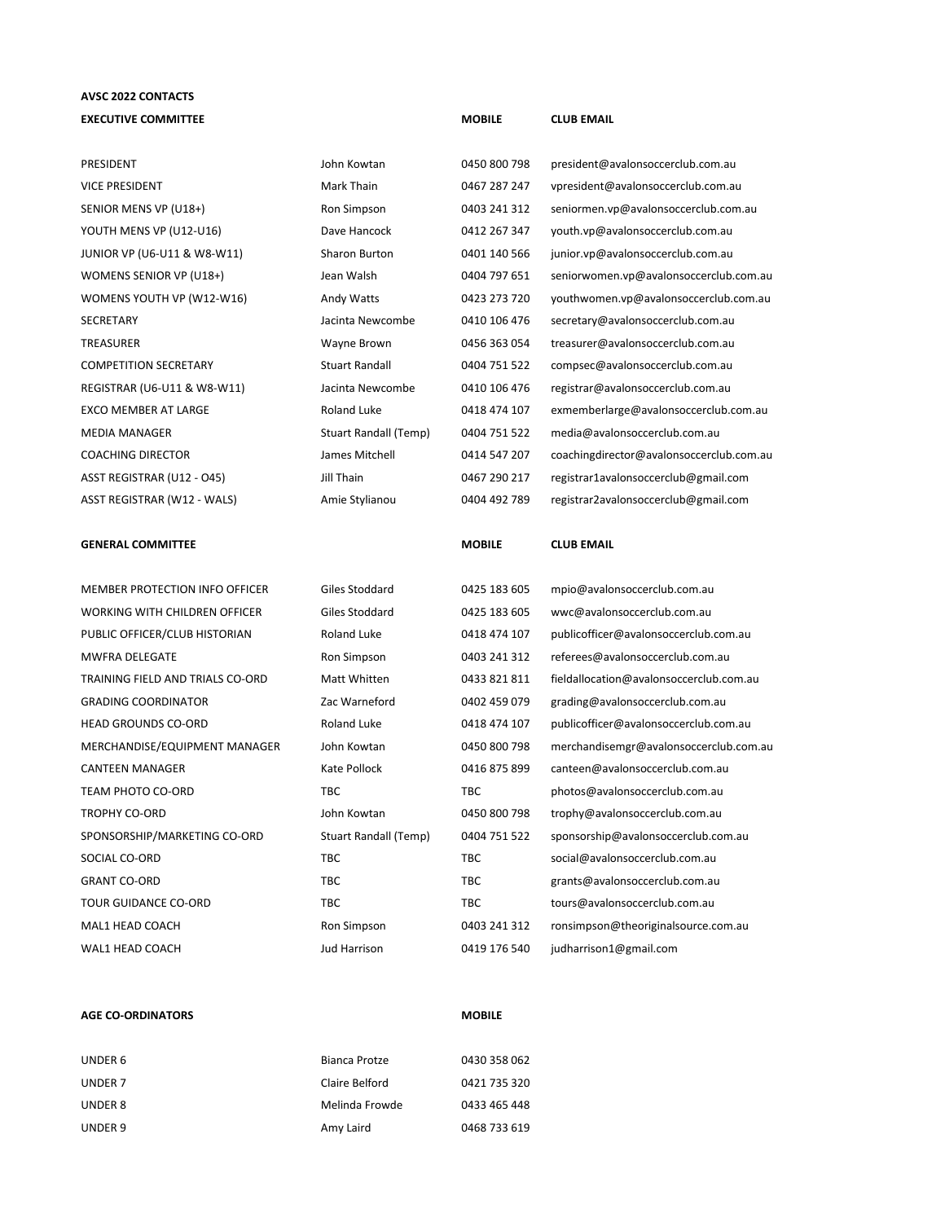## **AVSC 2022 CONTACTS EXECUTIVE COMMITTEE MOBILE CLUB EMAIL**

| PRESIDENT                        | John Kowtan           | 0450 800 798  | president@avalonsoccerclub.com.au        |
|----------------------------------|-----------------------|---------------|------------------------------------------|
| VICE PRESIDENT                   | Mark Thain            | 0467 287 247  | vpresident@avalonsoccerclub.com.au       |
| SENIOR MENS VP (U18+)            | Ron Simpson           | 0403 241 312  | seniormen.vp@avalonsoccerclub.com.au     |
| YOUTH MENS VP (U12-U16)          | Dave Hancock          | 0412 267 347  | youth.vp@avalonsoccerclub.com.au         |
| JUNIOR VP (U6-U11 & W8-W11)      | Sharon Burton         | 0401 140 566  | junior.vp@avalonsoccerclub.com.au        |
| WOMENS SENIOR VP (U18+)          | Jean Walsh            | 0404 797 651  | seniorwomen.vp@avalonsoccerclub.com.au   |
| WOMENS YOUTH VP (W12-W16)        | Andy Watts            | 0423 273 720  | youthwomen.vp@avalonsoccerclub.com.au    |
| SECRETARY                        | Jacinta Newcombe      | 0410 106 476  | secretary@avalonsoccerclub.com.au        |
| TREASURER                        | Wayne Brown           | 0456 363 054  | treasurer@avalonsoccerclub.com.au        |
| <b>COMPETITION SECRETARY</b>     | <b>Stuart Randall</b> | 0404 751 522  | compsec@avalonsoccerclub.com.au          |
| REGISTRAR (U6-U11 & W8-W11)      | Jacinta Newcombe      | 0410 106 476  | registrar@avalonsoccerclub.com.au        |
| <b>EXCO MEMBER AT LARGE</b>      | Roland Luke           | 0418 474 107  | exmemberlarge@avalonsoccerclub.com.au    |
| <b>MEDIA MANAGER</b>             | Stuart Randall (Temp) | 0404 751 522  | media@avalonsoccerclub.com.au            |
| COACHING DIRECTOR                | James Mitchell        | 0414 547 207  | coachingdirector@avalonsoccerclub.com.au |
| ASST REGISTRAR (U12 - O45)       | Jill Thain            | 0467 290 217  | registrar1avalonsoccerclub@gmail.com     |
| ASST REGISTRAR (W12 - WALS)      | Amie Stylianou        | 0404 492 789  | registrar2avalonsoccerclub@gmail.com     |
| GENERAL COMMITTEE                |                       | <b>MOBILE</b> | <b>CLUB EMAIL</b>                        |
| MEMBER PROTECTION INFO OFFICER   | Giles Stoddard        | 0425 183 605  | mpio@avalonsoccerclub.com.au             |
| WORKING WITH CHILDREN OFFICER    | Giles Stoddard        | 0425 183 605  | wwc@avalonsoccerclub.com.au              |
| PUBLIC OFFICER/CLUB HISTORIAN    | <b>Roland Luke</b>    | 0418 474 107  | publicofficer@avalonsoccerclub.com.au    |
| MWFRA DELEGATE                   | Ron Simpson           | 0403 241 312  | referees@avalonsoccerclub.com.au         |
| TRAINING FIELD AND TRIALS CO-ORD | Matt Whitten          | 0433 821 811  | fieldallocation@avalonsoccerclub.com.au  |
| <b>GRADING COORDINATOR</b>       | Zac Warneford         | 0402 459 079  | grading@avalonsoccerclub.com.au          |
| <b>HEAD GROUNDS CO-ORD</b>       | <b>Roland Luke</b>    | 0418 474 107  | publicofficer@avalonsoccerclub.com.au    |
| MERCHANDISE/EQUIPMENT MANAGER    | John Kowtan           | 0450 800 798  | merchandisemgr@avalonsoccerclub.com.au   |
| CANTEEN MANAGER                  | Kate Pollock          | 0416 875 899  | canteen@avalonsoccerclub.com.au          |
| TEAM PHOTO CO-ORD                | <b>TBC</b>            | TBC           | photos@avalonsoccerclub.com.au           |

TROPHY CO-ORD John Kowtan 0450 800 798 trophy@avalonsoccerclub.com.au SPONSORSHIP/MARKETING CO-ORD Stuart Randall (Temp) 0404 751 522 sponsorship@avalonsoccerclub.com.au SOCIAL CO-ORD TBC TBC TBC TBC social@avalonsoccerclub.com.au GRANT CO-ORD TBC TBC TBC grants@avalonsoccerclub.com.au TOUR GUIDANCE CO-ORD TBC TBC TBC TBC tours@avalonsoccerclub.com.au MAL1 HEAD COACH Ron Simpson 0403 241 312 ronsimpson@theoriginalsource.com.au

WAL1 HEAD COACH Jud Harrison 0419 176 540 judharrison1@gmail.com

## **AGE CO-ORDINATORS MOBILE**

| UNDER 6 | Bianca Protze  | 0430 358 062 |
|---------|----------------|--------------|
| UNDER 7 | Claire Belford | 0421 735 320 |
| UNDER 8 | Melinda Frowde | 0433 465 448 |
| UNDER 9 | Amy Laird      | 0468 733 619 |